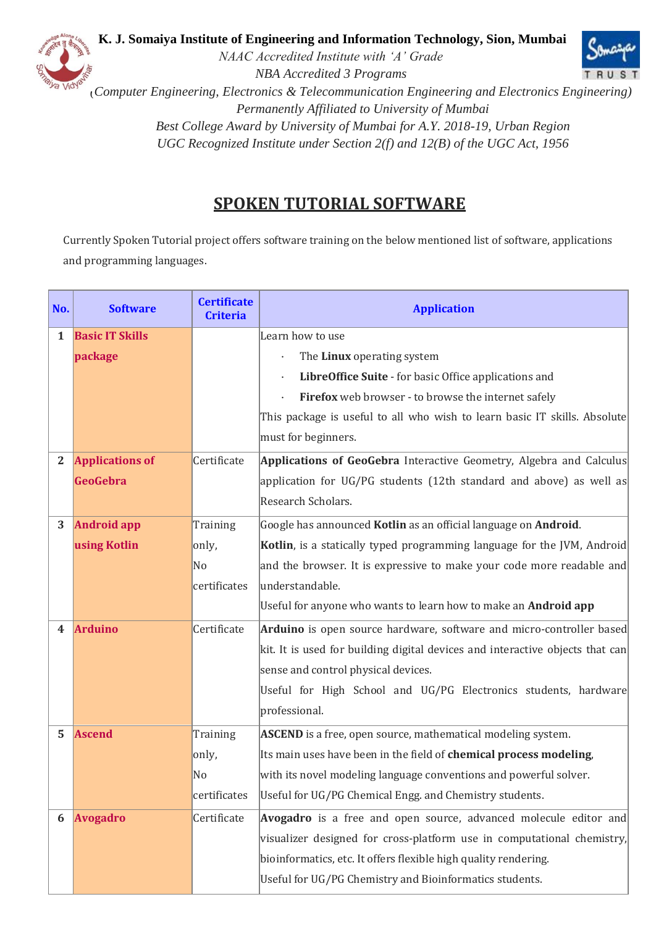

 **K. J. Somaiya Institute of Engineering and Information Technology, Sion, Mumbai**



*NAAC Accredited Institute with 'A' Grade NBA Accredited 3 Programs*

*(Computer Engineering, Electronics & Telecommunication Engineering and Electronics Engineering) Permanently Affiliated to University of Mumbai Best College Award by University of Mumbai for A.Y. 2018-19, Urban Region UGC Recognized Institute under Section 2(f) and 12(B) of the UGC Act, 1956*

## **SPOKEN TUTORIAL SOFTWARE**

Currently Spoken Tutorial project offers software training on the below mentioned list of software, applications and programming languages.

| No.          | <b>Software</b>        | <b>Certificate</b><br><b>Criteria</b> | <b>Application</b>                                                            |
|--------------|------------------------|---------------------------------------|-------------------------------------------------------------------------------|
| 1            | <b>Basic IT Skills</b> |                                       | Learn how to use                                                              |
|              | package                |                                       | The Linux operating system                                                    |
|              |                        |                                       | LibreOffice Suite - for basic Office applications and                         |
|              |                        |                                       | Firefox web browser - to browse the internet safely                           |
|              |                        |                                       | This package is useful to all who wish to learn basic IT skills. Absolute     |
|              |                        |                                       | must for beginners.                                                           |
| $\mathbf{2}$ | <b>Applications of</b> | Certificate                           | Applications of GeoGebra Interactive Geometry, Algebra and Calculus           |
|              | <b>GeoGebra</b>        |                                       | application for UG/PG students (12th standard and above) as well as           |
|              |                        |                                       | Research Scholars.                                                            |
| 3            | <b>Android app</b>     | Training                              | Google has announced Kotlin as an official language on Android.               |
|              | using Kotlin           | only,                                 | Kotlin, is a statically typed programming language for the JVM, Android       |
|              |                        | No                                    | and the browser. It is expressive to make your code more readable and         |
|              |                        | certificates                          | understandable.                                                               |
|              |                        |                                       | Useful for anyone who wants to learn how to make an Android app               |
| 4            | <b>Arduino</b>         | Certificate                           | Arduino is open source hardware, software and micro-controller based          |
|              |                        |                                       | kit. It is used for building digital devices and interactive objects that can |
|              |                        |                                       | sense and control physical devices.                                           |
|              |                        |                                       | Useful for High School and UG/PG Electronics students, hardware               |
|              |                        |                                       | professional.                                                                 |
| 5            | <b>Ascend</b>          | Training                              | ASCEND is a free, open source, mathematical modeling system.                  |
|              |                        | only,                                 | Its main uses have been in the field of chemical process modeling,            |
|              |                        | No                                    | with its novel modeling language conventions and powerful solver.             |
|              |                        | certificates                          | Useful for UG/PG Chemical Engg. and Chemistry students.                       |
| 6            | <b>Avogadro</b>        | Certificate                           | Avogadro is a free and open source, advanced molecule editor and              |
|              |                        |                                       | visualizer designed for cross-platform use in computational chemistry,        |
|              |                        |                                       | bioinformatics, etc. It offers flexible high quality rendering.               |
|              |                        |                                       | Useful for UG/PG Chemistry and Bioinformatics students.                       |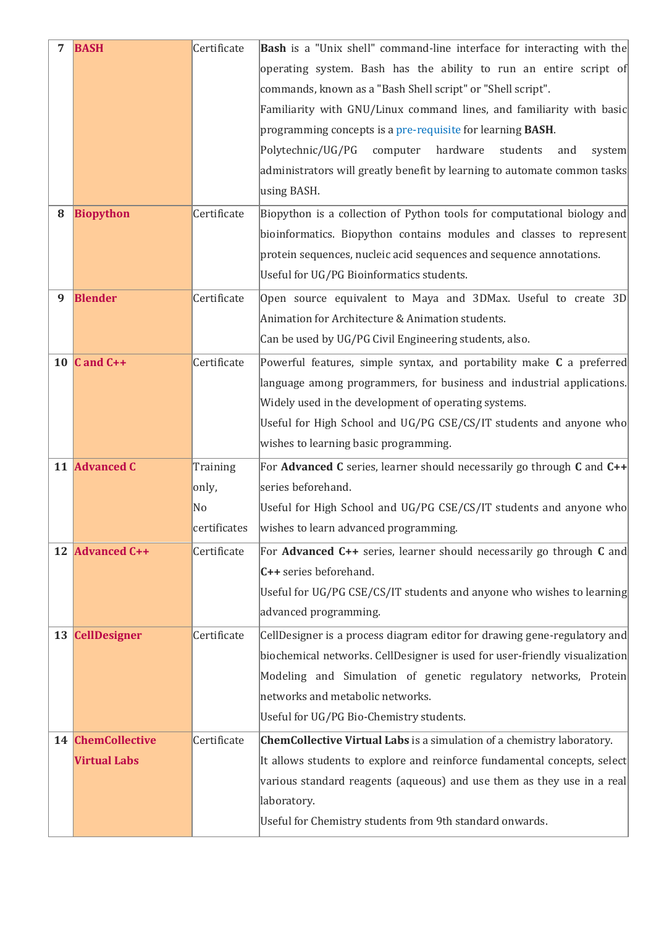|   | <b>BASH</b>         | Certificate    | Bash is a "Unix shell" command-line interface for interacting with the        |
|---|---------------------|----------------|-------------------------------------------------------------------------------|
|   |                     |                | operating system. Bash has the ability to run an entire script of             |
|   |                     |                | commands, known as a "Bash Shell script" or "Shell script".                   |
|   |                     |                | Familiarity with GNU/Linux command lines, and familiarity with basic          |
|   |                     |                | programming concepts is a pre-requisite for learning BASH.                    |
|   |                     |                | Polytechnic/UG/PG<br>hardware<br>computer<br>students<br>and<br>system        |
|   |                     |                | administrators will greatly benefit by learning to automate common tasks      |
|   |                     |                | using BASH.                                                                   |
| 8 | <b>Biopython</b>    | Certificate    | Biopython is a collection of Python tools for computational biology and       |
|   |                     |                | bioinformatics. Biopython contains modules and classes to represent           |
|   |                     |                | protein sequences, nucleic acid sequences and sequence annotations.           |
|   |                     |                | Useful for UG/PG Bioinformatics students.                                     |
| 9 | <b>Blender</b>      | Certificate    | Open source equivalent to Maya and 3DMax. Useful to create 3D                 |
|   |                     |                | Animation for Architecture & Animation students.                              |
|   |                     |                | Can be used by UG/PG Civil Engineering students, also.                        |
|   | 10 $C$ and $C++$    | Certificate    | Powerful features, simple syntax, and portability make C a preferred          |
|   |                     |                | language among programmers, for business and industrial applications.         |
|   |                     |                | Widely used in the development of operating systems.                          |
|   |                     |                | Useful for High School and UG/PG CSE/CS/IT students and anyone who            |
|   |                     |                | wishes to learning basic programming.                                         |
|   | 11 Advanced C       | Training       | For Advanced C series, learner should necessarily go through C and C++        |
|   |                     | only,          | series beforehand.                                                            |
|   |                     | N <sub>0</sub> | Useful for High School and UG/PG CSE/CS/IT students and anyone who            |
|   |                     | certificates   | wishes to learn advanced programming.                                         |
|   | 12 Advanced C++     | Certificate    | For Advanced C++ series, learner should necessarily go through C and          |
|   |                     |                | C++ series beforehand.                                                        |
|   |                     |                | Useful for UG/PG CSE/CS/IT students and anyone who wishes to learning         |
|   |                     |                | advanced programming.                                                         |
|   | 13 CellDesigner     | Certificate    | CellDesigner is a process diagram editor for drawing gene-regulatory and      |
|   |                     |                | biochemical networks. CellDesigner is used for user-friendly visualization    |
|   |                     |                | Modeling and Simulation of genetic regulatory networks, Protein               |
|   |                     |                | networks and metabolic networks.                                              |
|   |                     |                | Useful for UG/PG Bio-Chemistry students.                                      |
|   | 14 ChemCollective   | Certificate    | <b>ChemCollective Virtual Labs</b> is a simulation of a chemistry laboratory. |
|   | <b>Virtual Labs</b> |                | It allows students to explore and reinforce fundamental concepts, select      |
|   |                     |                | various standard reagents (aqueous) and use them as they use in a real        |
|   |                     |                | laboratory.                                                                   |
|   |                     |                | Useful for Chemistry students from 9th standard onwards.                      |
|   |                     |                |                                                                               |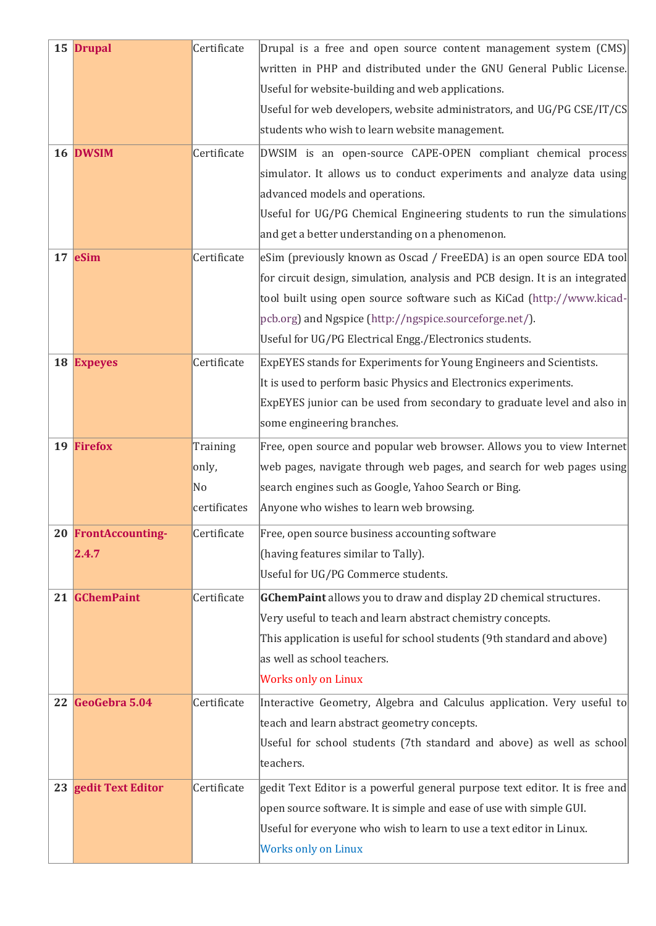| 15 Drupal            | Certificate  | Drupal is a free and open source content management system (CMS)             |
|----------------------|--------------|------------------------------------------------------------------------------|
|                      |              | written in PHP and distributed under the GNU General Public License.         |
|                      |              | Useful for website-building and web applications.                            |
|                      |              | Useful for web developers, website administrators, and UG/PG CSE/IT/CS       |
|                      |              | students who wish to learn website management.                               |
| 16 DWSIM             | Certificate  | DWSIM is an open-source CAPE-OPEN compliant chemical process                 |
|                      |              | simulator. It allows us to conduct experiments and analyze data using        |
|                      |              | advanced models and operations.                                              |
|                      |              | Useful for UG/PG Chemical Engineering students to run the simulations        |
|                      |              | and get a better understanding on a phenomenon.                              |
| 17 eSim              | Certificate  | eSim (previously known as Oscad / FreeEDA) is an open source EDA tool        |
|                      |              | for circuit design, simulation, analysis and PCB design. It is an integrated |
|                      |              | tool built using open source software such as KiCad (http://www.kicad-       |
|                      |              | pcb.org) and Ngspice (http://ngspice.sourceforge.net/).                      |
|                      |              | Useful for UG/PG Electrical Engg./Electronics students.                      |
| 18 Expeyes           | Certificate  | ExpEYES stands for Experiments for Young Engineers and Scientists.           |
|                      |              | It is used to perform basic Physics and Electronics experiments.             |
|                      |              | ExpEYES junior can be used from secondary to graduate level and also in      |
|                      |              | some engineering branches.                                                   |
| 19 Firefox           | Training     | Free, open source and popular web browser. Allows you to view Internet       |
|                      | only,        | web pages, navigate through web pages, and search for web pages using        |
|                      | No           | search engines such as Google, Yahoo Search or Bing.                         |
|                      | certificates | Anyone who wishes to learn web browsing.                                     |
| 20 FrontAccounting-  | Certificate  | Free, open source business accounting software                               |
| 2.4.7                |              | (having features similar to Tally).                                          |
|                      |              | Useful for UG/PG Commerce students.                                          |
| 21 GChemPaint        | Certificate  | <b>GChemPaint</b> allows you to draw and display 2D chemical structures.     |
|                      |              | Very useful to teach and learn abstract chemistry concepts.                  |
|                      |              | This application is useful for school students (9th standard and above)      |
|                      |              | as well as school teachers.                                                  |
|                      |              | <b>Works only on Linux</b>                                                   |
| 22 GeoGebra 5.04     | Certificate  | Interactive Geometry, Algebra and Calculus application. Very useful to       |
|                      |              | teach and learn abstract geometry concepts.                                  |
|                      |              | Useful for school students (7th standard and above) as well as school        |
|                      |              | teachers.                                                                    |
| 23 gedit Text Editor | Certificate  | gedit Text Editor is a powerful general purpose text editor. It is free and  |
|                      |              | open source software. It is simple and ease of use with simple GUI.          |
|                      |              | Useful for everyone who wish to learn to use a text editor in Linux.         |
|                      |              | <b>Works only on Linux</b>                                                   |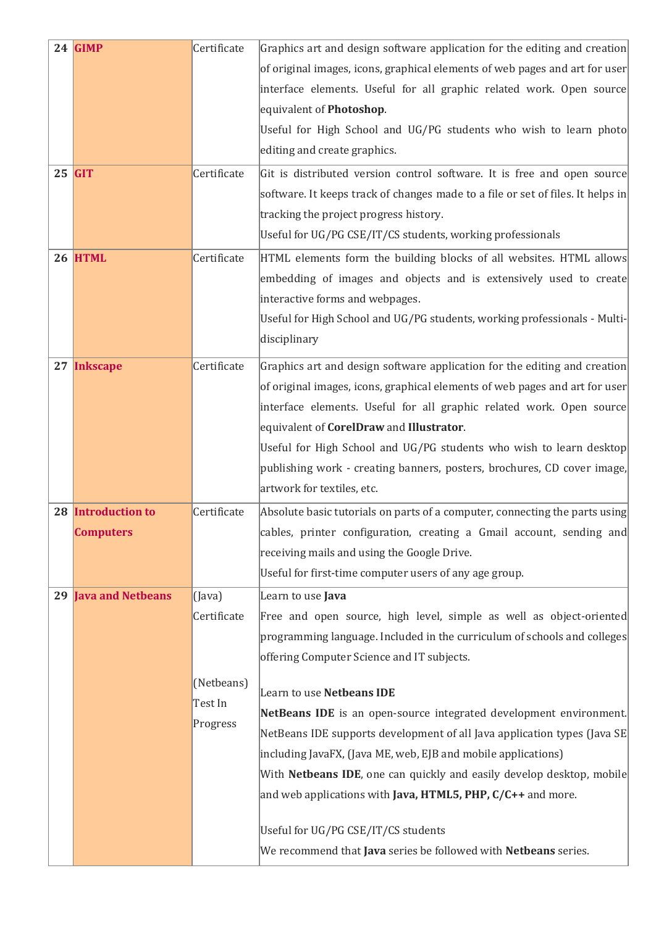| 24 GIMP                     | Certificate  | Graphics art and design software application for the editing and creation                       |
|-----------------------------|--------------|-------------------------------------------------------------------------------------------------|
|                             |              | of original images, icons, graphical elements of web pages and art for user                     |
|                             |              | interface elements. Useful for all graphic related work. Open source                            |
|                             |              | equivalent of <b>Photoshop</b> .                                                                |
|                             |              | Useful for High School and UG/PG students who wish to learn photo                               |
|                             |              | editing and create graphics.                                                                    |
| $25$ GIT                    | Certificate  | Git is distributed version control software. It is free and open source                         |
|                             |              | software. It keeps track of changes made to a file or set of files. It helps in                 |
|                             |              | tracking the project progress history.                                                          |
|                             |              | Useful for UG/PG CSE/IT/CS students, working professionals                                      |
| 26 HTML                     | Certificate  | HTML elements form the building blocks of all websites. HTML allows                             |
|                             |              | embedding of images and objects and is extensively used to create                               |
|                             |              | interactive forms and webpages.                                                                 |
|                             |              | Useful for High School and UG/PG students, working professionals - Multi-                       |
|                             |              | disciplinary                                                                                    |
| 27 Inkscape                 | Certificate  | Graphics art and design software application for the editing and creation                       |
|                             |              | of original images, icons, graphical elements of web pages and art for user                     |
|                             |              | interface elements. Useful for all graphic related work. Open source                            |
|                             |              | equivalent of <b>CorelDraw</b> and <b>Illustrator</b> .                                         |
|                             |              | Useful for High School and UG/PG students who wish to learn desktop                             |
|                             |              | publishing work - creating banners, posters, brochures, CD cover image,                         |
|                             |              | artwork for textiles, etc.                                                                      |
| 28 Introduction to          | Certificate  | Absolute basic tutorials on parts of a computer, connecting the parts using                     |
| <b>Computers</b>            |              | cables, printer configuration, creating a Gmail account, sending and                            |
|                             |              | receiving mails and using the Google Drive.                                                     |
|                             |              | Useful for first-time computer users of any age group.                                          |
| <b>29 Java and Netbeans</b> | $($ Java $)$ | Learn to use <b>Java</b>                                                                        |
|                             | Certificate  | Free and open source, high level, simple as well as object-oriented                             |
|                             |              | programming language. Included in the curriculum of schools and colleges                        |
|                             |              | offering Computer Science and IT subjects.                                                      |
|                             | (Netbeans)   |                                                                                                 |
|                             | Test In      | Learn to use Netbeans IDE<br>NetBeans IDE is an open-source integrated development environment. |
|                             | Progress     | NetBeans IDE supports development of all Java application types (Java SE)                       |
|                             |              | including JavaFX, (Java ME, web, EJB and mobile applications)                                   |
|                             |              | With Netbeans IDE, one can quickly and easily develop desktop, mobile                           |
|                             |              | and web applications with <b>Java, HTML5, PHP, <math>C/C++</math></b> and more.                 |
|                             |              |                                                                                                 |
|                             |              | Useful for UG/PG CSE/IT/CS students                                                             |
|                             |              | We recommend that Java series be followed with Netbeans series.                                 |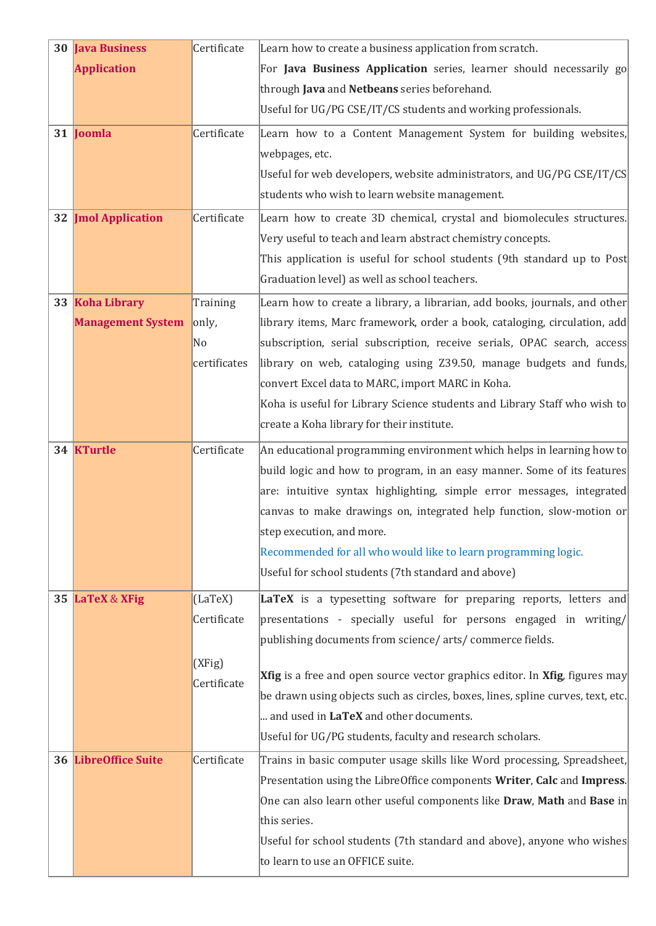| 30 Java Business           | Certificate    | Learn how to create a business application from scratch.                                   |
|----------------------------|----------------|--------------------------------------------------------------------------------------------|
| <b>Application</b>         |                | For Java Business Application series, learner should necessarily go                        |
|                            |                | through Java and Netbeans series beforehand.                                               |
|                            |                | Useful for UG/PG CSE/IT/CS students and working professionals.                             |
| 31 Joomla                  | Certificate    | Learn how to a Content Management System for building websites,                            |
|                            |                | webpages, etc.                                                                             |
|                            |                | Useful for web developers, website administrators, and UG/PG CSE/IT/CS                     |
|                            |                | students who wish to learn website management.                                             |
| <b>32 Jmol Application</b> | Certificate    | Learn how to create 3D chemical, crystal and biomolecules structures.                      |
|                            |                | Very useful to teach and learn abstract chemistry concepts.                                |
|                            |                | This application is useful for school students (9th standard up to Post                    |
|                            |                | Graduation level) as well as school teachers.                                              |
| 33 Koha Library            | Training       | Learn how to create a library, a librarian, add books, journals, and other                 |
| <b>Management System</b>   | only,          | library items, Marc framework, order a book, cataloging, circulation, add                  |
|                            | N <sub>0</sub> | subscription, serial subscription, receive serials, OPAC search, access                    |
|                            | certificates   | library on web, cataloging using Z39.50, manage budgets and funds,                         |
|                            |                | convert Excel data to MARC, import MARC in Koha.                                           |
|                            |                | Koha is useful for Library Science students and Library Staff who wish to                  |
|                            |                | create a Koha library for their institute.                                                 |
| 34 KTurtle                 | Certificate    | An educational programming environment which helps in learning how to                      |
|                            |                | build logic and how to program, in an easy manner. Some of its features                    |
|                            |                | are: intuitive syntax highlighting, simple error messages, integrated                      |
|                            |                | canvas to make drawings on, integrated help function, slow-motion or                       |
|                            |                | step execution, and more.                                                                  |
|                            |                | Recommended for all who would like to learn programming logic.                             |
|                            |                | Useful for school students (7th standard and above)                                        |
| 35 LaTeX & XFig            | (LaTeX)        | LaTeX is a typesetting software for preparing reports, letters and                         |
|                            | Certificate    | presentations - specially useful for persons engaged in writing/                           |
|                            |                | publishing documents from science/ arts/ commerce fields.                                  |
|                            | (XFig)         |                                                                                            |
|                            | Certificate    | <b>Xfig</b> is a free and open source vector graphics editor. In <b>Xfig</b> , figures may |
|                            |                | be drawn using objects such as circles, boxes, lines, spline curves, text, etc.            |
|                            |                | and used in LaTeX and other documents.                                                     |
|                            |                | Useful for UG/PG students, faculty and research scholars.                                  |
| 36 LibreOffice Suite       | Certificate    | Trains in basic computer usage skills like Word processing, Spreadsheet,                   |
|                            |                | Presentation using the LibreOffice components Writer, Calc and Impress.                    |
|                            |                | One can also learn other useful components like Draw, Math and Base in                     |
|                            |                | this series.                                                                               |
|                            |                | Useful for school students (7th standard and above), anyone who wishes                     |
|                            |                | to learn to use an OFFICE suite.                                                           |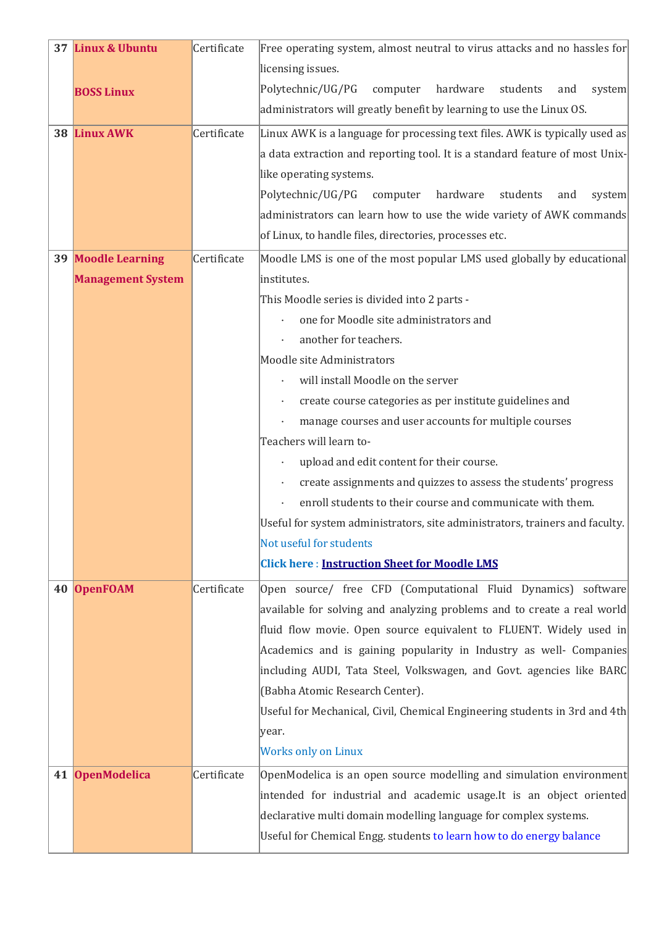|    | 37 Linux & Ubuntu        | Certificate | Free operating system, almost neutral to virus attacks and no hassles for    |
|----|--------------------------|-------------|------------------------------------------------------------------------------|
|    |                          |             | licensing issues.                                                            |
|    | <b>BOSS Linux</b>        |             | Polytechnic/UG/PG<br>computer<br>hardware<br>students<br>system<br>and       |
|    |                          |             | administrators will greatly benefit by learning to use the Linux OS.         |
|    | 38 Linux AWK             | Certificate | Linux AWK is a language for processing text files. AWK is typically used as  |
|    |                          |             | a data extraction and reporting tool. It is a standard feature of most Unix- |
|    |                          |             | like operating systems.                                                      |
|    |                          |             | Polytechnic/UG/PG<br>hardware<br>computer<br>students<br>and<br>system       |
|    |                          |             | administrators can learn how to use the wide variety of AWK commands         |
|    |                          |             | of Linux, to handle files, directories, processes etc.                       |
|    | 39 Moodle Learning       | Certificate | Moodle LMS is one of the most popular LMS used globally by educational       |
|    | <b>Management System</b> |             | institutes.                                                                  |
|    |                          |             | This Moodle series is divided into 2 parts -                                 |
|    |                          |             | one for Moodle site administrators and                                       |
|    |                          |             | another for teachers.                                                        |
|    |                          |             | Moodle site Administrators                                                   |
|    |                          |             | will install Moodle on the server                                            |
|    |                          |             | create course categories as per institute guidelines and                     |
|    |                          |             | manage courses and user accounts for multiple courses                        |
|    |                          |             | Teachers will learn to-                                                      |
|    |                          |             | upload and edit content for their course.                                    |
|    |                          |             | create assignments and quizzes to assess the students' progress              |
|    |                          |             | enroll students to their course and communicate with them.                   |
|    |                          |             | Useful for system administrators, site administrators, trainers and faculty. |
|    |                          |             | Not useful for students                                                      |
|    |                          |             | <b>Click here: Instruction Sheet for Moodle LMS</b>                          |
| 40 | <b>OpenFOAM</b>          | Certificate | Open source/ free CFD (Computational Fluid Dynamics) software                |
|    |                          |             | available for solving and analyzing problems and to create a real world      |
|    |                          |             | fluid flow movie. Open source equivalent to FLUENT. Widely used in           |
|    |                          |             | Academics and is gaining popularity in Industry as well- Companies           |
|    |                          |             | including AUDI, Tata Steel, Volkswagen, and Govt. agencies like BARC         |
|    |                          |             | (Babha Atomic Research Center).                                              |
|    |                          |             | Useful for Mechanical, Civil, Chemical Engineering students in 3rd and 4th   |
|    |                          |             | year.                                                                        |
|    |                          |             | <b>Works only on Linux</b>                                                   |
| 41 | <b>OpenModelica</b>      | Certificate | OpenModelica is an open source modelling and simulation environment          |
|    |                          |             | intended for industrial and academic usage. It is an object oriented         |
|    |                          |             | declarative multi domain modelling language for complex systems.             |
|    |                          |             | Useful for Chemical Engg. students to learn how to do energy balance         |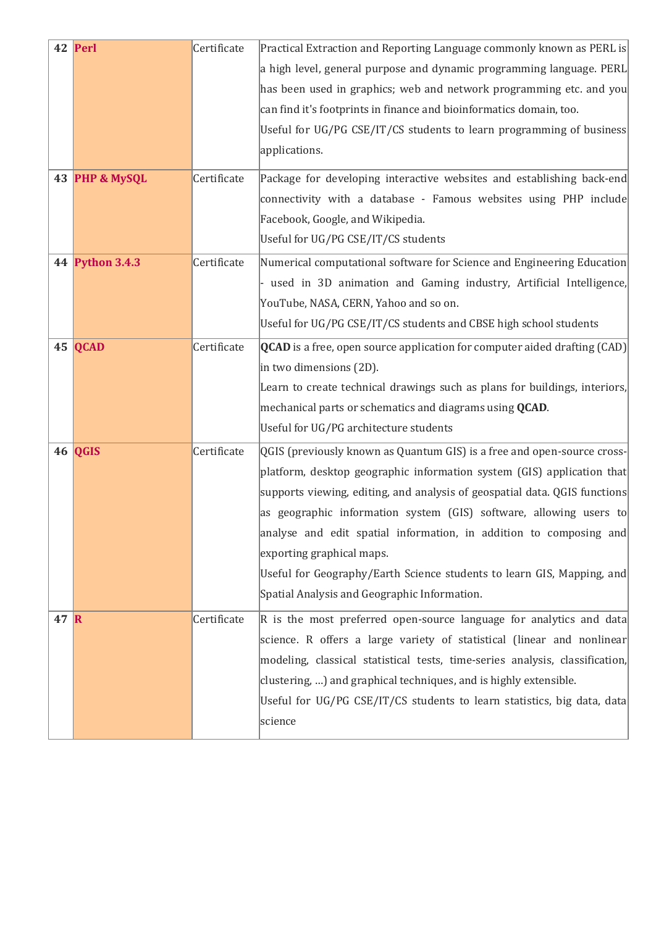|              | 42 Perl<br>43 PHP & MySQL | Certificate<br>Certificate | Practical Extraction and Reporting Language commonly known as PERL is<br>a high level, general purpose and dynamic programming language. PERL<br>has been used in graphics; web and network programming etc. and you<br>can find it's footprints in finance and bioinformatics domain, too.<br>Useful for UG/PG CSE/IT/CS students to learn programming of business<br>applications.<br>Package for developing interactive websites and establishing back-end                                                                          |
|--------------|---------------------------|----------------------------|----------------------------------------------------------------------------------------------------------------------------------------------------------------------------------------------------------------------------------------------------------------------------------------------------------------------------------------------------------------------------------------------------------------------------------------------------------------------------------------------------------------------------------------|
|              |                           |                            | connectivity with a database - Famous websites using PHP include<br>Facebook, Google, and Wikipedia.<br>Useful for UG/PG CSE/IT/CS students                                                                                                                                                                                                                                                                                                                                                                                            |
|              | 44 Python 3.4.3           | Certificate                | Numerical computational software for Science and Engineering Education<br>- used in 3D animation and Gaming industry, Artificial Intelligence,<br>YouTube, NASA, CERN, Yahoo and so on.<br>Useful for UG/PG CSE/IT/CS students and CBSE high school students                                                                                                                                                                                                                                                                           |
|              | 45 QCAD                   | Certificate                | <b>QCAD</b> is a free, open source application for computer aided drafting $(CAD)$<br>in two dimensions (2D).<br>Learn to create technical drawings such as plans for buildings, interiors,<br>mechanical parts or schematics and diagrams using <b>QCAD</b> .<br>Useful for UG/PG architecture students                                                                                                                                                                                                                               |
|              | 46 QGIS                   | Certificate                | QGIS (previously known as Quantum GIS) is a free and open-source cross-<br>$ $ platform, desktop geographic information system (GIS) application that<br>supports viewing, editing, and analysis of geospatial data. QGIS functions<br>as geographic information system (GIS) software, allowing users to<br>analyse and edit spatial information, in addition to composing and<br>exporting graphical maps.<br>Useful for Geography/Earth Science students to learn GIS, Mapping, and<br>Spatial Analysis and Geographic Information. |
| $47 \vert R$ |                           | Certificate                | $\vert$ R is the most preferred open-source language for analytics and data<br>science. R offers a large variety of statistical (linear and nonlinear<br>modeling, classical statistical tests, time-series analysis, classification,<br>clustering, ) and graphical techniques, and is highly extensible.<br>Useful for UG/PG CSE/IT/CS students to learn statistics, big data, data<br>science                                                                                                                                       |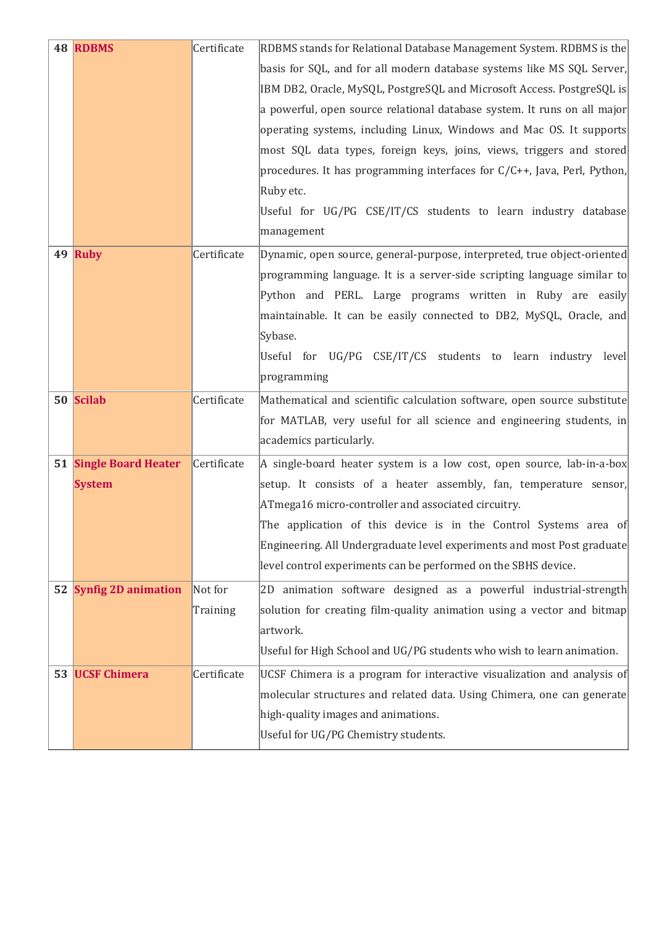| 48 RDBMS               | Certificate | RDBMS stands for Relational Database Management System. RDBMS is the     |
|------------------------|-------------|--------------------------------------------------------------------------|
|                        |             | basis for SQL, and for all modern database systems like MS SQL Server,   |
|                        |             | IBM DB2, Oracle, MySQL, PostgreSQL and Microsoft Access. PostgreSQL is   |
|                        |             | a powerful, open source relational database system. It runs on all major |
|                        |             | operating systems, including Linux, Windows and Mac OS. It supports      |
|                        |             | most SQL data types, foreign keys, joins, views, triggers and stored     |
|                        |             | procedures. It has programming interfaces for C/C++, Java, Perl, Python, |
|                        |             | Ruby etc.                                                                |
|                        |             | Useful for UG/PG CSE/IT/CS students to learn industry database           |
|                        |             | management                                                               |
| 49 Ruby                | Certificate | Dynamic, open source, general-purpose, interpreted, true object-oriented |
|                        |             | programming language. It is a server-side scripting language similar to  |
|                        |             | Python and PERL. Large programs written in Ruby are easily               |
|                        |             | maintainable. It can be easily connected to DB2, MySQL, Oracle, and      |
|                        |             | Sybase.                                                                  |
|                        |             | Useful for UG/PG CSE/IT/CS students to learn industry level              |
|                        |             | programming                                                              |
| 50 Scilab              | Certificate | Mathematical and scientific calculation software, open source substitute |
|                        |             | for MATLAB, very useful for all science and engineering students, in     |
|                        |             | academics particularly.                                                  |
| 51 Single Board Heater | Certificate | A single-board heater system is a low cost, open source, lab-in-a-box    |
| <b>System</b>          |             | setup. It consists of a heater assembly, fan, temperature sensor,        |
|                        |             | ATmega16 micro-controller and associated circuitry.                      |
|                        |             | The application of this device is in the Control Systems area of         |
|                        |             | Engineering. All Undergraduate level experiments and most Post graduate  |
|                        |             | level control experiments can be performed on the SBHS device.           |
| 52 Synfig 2D animation | Not for     | 2D animation software designed as a powerful industrial-strength         |
|                        | Training    | solution for creating film-quality animation using a vector and bitmap   |
|                        |             | artwork.                                                                 |
|                        |             | Useful for High School and UG/PG students who wish to learn animation.   |
| 53 UCSF Chimera        | Certificate | UCSF Chimera is a program for interactive visualization and analysis of  |
|                        |             | molecular structures and related data. Using Chimera, one can generate   |
|                        |             | high-quality images and animations.                                      |
|                        |             | Useful for UG/PG Chemistry students.                                     |
|                        |             |                                                                          |